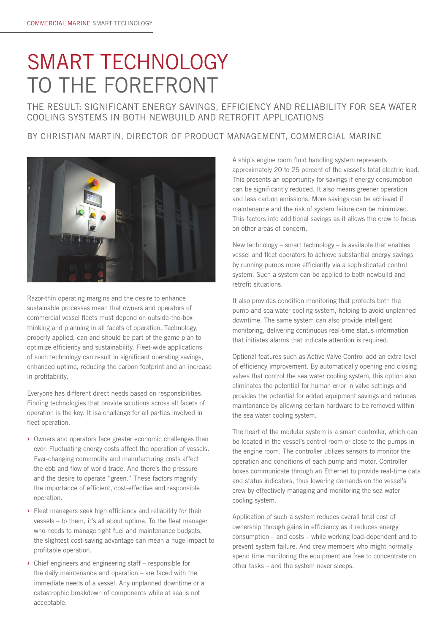# SMART TECHNOLOGY TO THE FOREFRONT

THE RESULT: SIGNIFICANT ENERGY SAVINGS, EFFICIENCY AND RELIABILITY FOR SEA WATER COOLING SYSTEMS IN BOTH NEWBUILD AND RETROFIT APPLICATIONS

#### BY CHRISTIAN MARTIN, DIRECTOR OF PRODUCT MANAGEMENT, COMMERCIAL MARINE



Razor-thin operating margins and the desire to enhance sustainable processes mean that owners and operators of commercial vessel fleets must depend on outside-the-box thinking and planning in all facets of operation. Technology, properly applied, can and should be part of the game plan to optimize efficiency and sustainability. Fleet-wide applications of such technology can result in significant operating savings, enhanced uptime, reducing the carbon footprint and an increase in profitability.

Everyone has different direct needs based on responsibilities. Finding technologies that provide solutions across all facets of operation is the key. It isa challenge for all parties involved in fleet operation.

- **›** Owners and operators face greater economic challenges than ever. Fluctuating energy costs affect the operation of vessels. Ever-changing commodity and manufacturing costs affect the ebb and flow of world trade. And there's the pressure and the desire to operate "green." These factors magnify the importance of efficient, cost-effective and responsible operation.
- **›** Fleet managers seek high efficiency and reliability for their vessels – to them, it's all about uptime. To the fleet manager who needs to manage tight fuel and maintenance budgets, the slightest cost-saving advantage can mean a huge impact to profitable operation.
- **›** Chief engineers and engineering staff responsible for the daily maintenance and operation – are faced with the immediate needs of a vessel. Any unplanned downtime or a catastrophic breakdown of components while at sea is not acceptable.

A ship's engine room fluid handling system represents approximately 20 to 25 percent of the vessel's total electric load. This presents an opportunity for savings if energy consumption can be significantly reduced. It also means greener operation and less carbon emissions. More savings can be achieved if maintenance and the risk of system failure can be minimized. This factors into additional savings as it allows the crew to focus on other areas of concern.

New technology – smart technology – is available that enables vessel and fleet operators to achieve substantial energy savings by running pumps more efficiently via a sophisticated control system. Such a system can be applied to both newbuild and retrofit situations.

It also provides condition monitoring that protects both the pump and sea water cooling system, helping to avoid unplanned downtime. The same system can also provide intelligent monitoring, delivering continuous real-time status information that initiates alarms that indicate attention is required.

Optional features such as Active Valve Control add an extra level of efficiency improvement. By automatically opening and closing valves that control the sea water cooling system, this option also eliminates the potential for human error in valve settings and provides the potential for added equipment savings and reduces maintenance by allowing certain hardware to be removed within the sea water cooling system.

The heart of the modular system is a smart controller, which can be located in the vessel's control room or close to the pumps in the engine room. The controller utilizes sensors to monitor the operation and conditions of each pump and motor. Controller boxes communicate through an Ethernet to provide real-time data and status indicators, thus lowering demands on the vessel's crew by effectively managing and monitoring the sea water cooling system.

Application of such a system reduces overall total cost of ownership through gains in efficiency as it reduces energy consumption – and costs – while working load-dependent and to prevent system failure. And crew members who might normally spend time monitoring the equipment are free to concentrate on other tasks – and the system never sleeps.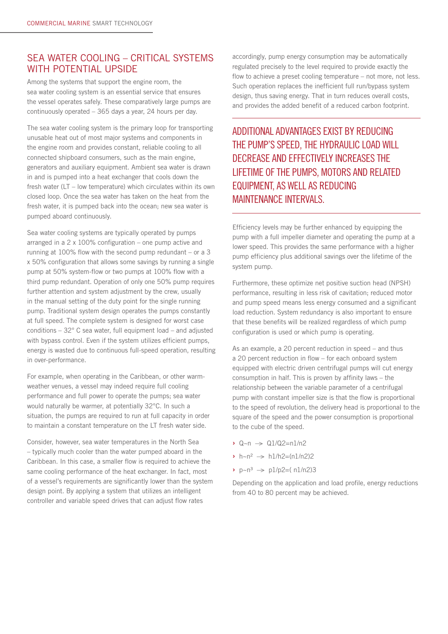## SEA WATER COOLING – CRITICAL SYSTEMS WITH POTENTIAL UPSIDE

Among the systems that support the engine room, the sea water cooling system is an essential service that ensures the vessel operates safely. These comparatively large pumps are continuously operated – 365 days a year, 24 hours per day.

The sea water cooling system is the primary loop for transporting unusable heat out of most major systems and components in the engine room and provides constant, reliable cooling to all connected shipboard consumers, such as the main engine, generators and auxiliary equipment. Ambient sea water is drawn in and is pumped into a heat exchanger that cools down the fresh water (LT – low temperature) which circulates within its own closed loop. Once the sea water has taken on the heat from the fresh water, it is pumped back into the ocean; new sea water is pumped aboard continuously.

Sea water cooling systems are typically operated by pumps arranged in a 2 x 100% configuration – one pump active and running at 100% flow with the second pump redundant – or a 3 x 50% configuration that allows some savings by running a single pump at 50% system-flow or two pumps at 100% flow with a third pump redundant. Operation of only one 50% pump requires further attention and system adjustment by the crew, usually in the manual setting of the duty point for the single running pump. Traditional system design operates the pumps constantly at full speed. The complete system is designed for worst case conditions – 32° C sea water, full equipment load – and adjusted with bypass control. Even if the system utilizes efficient pumps, energy is wasted due to continuous full-speed operation, resulting in over-performance.

For example, when operating in the Caribbean, or other warmweather venues, a vessel may indeed require full cooling performance and full power to operate the pumps; sea water would naturally be warmer, at potentially 32°C. In such a situation, the pumps are required to run at full capacity in order to maintain a constant temperature on the LT fresh water side.

Consider, however, sea water temperatures in the North Sea – typically much cooler than the water pumped aboard in the Caribbean. In this case, a smaller flow is required to achieve the same cooling performance of the heat exchanger. In fact, most of a vessel's requirements are significantly lower than the system design point. By applying a system that utilizes an intelligent controller and variable speed drives that can adjust flow rates

accordingly, pump energy consumption may be automatically regulated precisely to the level required to provide exactly the flow to achieve a preset cooling temperature – not more, not less. Such operation replaces the inefficient full run/bypass system design, thus saving energy. That in turn reduces overall costs, and provides the added benefit of a reduced carbon footprint.

ADDITIONAL ADVANTAGES EXIST BY REDUCING THE PUMP'S SPEED, THE HYDRAULIC LOAD WILL DECREASE AND EFFECTIVELY INCREASES THE LIFETIME OF THE PUMPS, MOTORS AND RELATED EQUIPMENT, AS WELL AS REDUCING MAINTENANCE INTERVALS.

Efficiency levels may be further enhanced by equipping the pump with a full impeller diameter and operating the pump at a lower speed. This provides the same performance with a higher pump efficiency plus additional savings over the lifetime of the system pump.

Furthermore, these optimize net positive suction head (NPSH) performance, resulting in less risk of cavitation; reduced motor and pump speed means less energy consumed and a significant load reduction. System redundancy is also important to ensure that these benefits will be realized regardless of which pump configuration is used or which pump is operating.

As an example, a 20 percent reduction in speed – and thus a 20 percent reduction in flow – for each onboard system equipped with electric driven centrifugal pumps will cut energy consumption in half. This is proven by affinity laws – the relationship between the variable parameter of a centrifugal pump with constant impeller size is that the flow is proportional to the speed of revolution, the delivery head is proportional to the square of the speed and the power consumption is proportional to the cube of the speed.

- **›** Q~n —> Q1/Q2=n1/n2
- $\rightarrow$  h~n<sup>2</sup>  $\rightarrow$  h1/h2=(n1/n2)2
- $\rightarrow$  p~n<sup>3</sup>  $\rightarrow$  p1/p2=(n1/n2)3

Depending on the application and load profile, energy reductions from 40 to 80 percent may be achieved.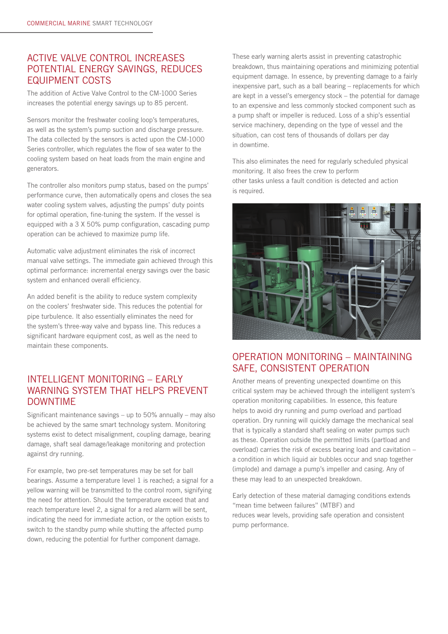# ACTIVE VALVE CONTROL INCREASES POTENTIAL ENERGY SAVINGS, REDUCES EQUIPMENT COSTS

The addition of Active Valve Control to the CM-1000 Series increases the potential energy savings up to 85 percent.

Sensors monitor the freshwater cooling loop's temperatures, as well as the system's pump suction and discharge pressure. The data collected by the sensors is acted upon the CM-1000 Series controller, which regulates the flow of sea water to the cooling system based on heat loads from the main engine and generators.

The controller also monitors pump status, based on the pumps' performance curve, then automatically opens and closes the sea water cooling system valves, adjusting the pumps' duty points for optimal operation, fine-tuning the system. If the vessel is equipped with a 3 X 50% pump configuration, cascading pump operation can be achieved to maximize pump life.

Automatic valve adjustment eliminates the risk of incorrect manual valve settings. The immediate gain achieved through this optimal performance: incremental energy savings over the basic system and enhanced overall efficiency.

An added benefit is the ability to reduce system complexity on the coolers' freshwater side. This reduces the potential for pipe turbulence. It also essentially eliminates the need for the system's three-way valve and bypass line. This reduces a significant hardware equipment cost, as well as the need to maintain these components.

## INTELLIGENT MONITORING – EARLY WARNING SYSTEM THAT HELPS PREVENT DOWNTIME

Significant maintenance savings – up to 50% annually – may also be achieved by the same smart technology system. Monitoring systems exist to detect misalignment, coupling damage, bearing damage, shaft seal damage/leakage monitoring and protection against dry running.

For example, two pre-set temperatures may be set for ball bearings. Assume a temperature level 1 is reached; a signal for a yellow warning will be transmitted to the control room, signifying the need for attention. Should the temperature exceed that and reach temperature level 2, a signal for a red alarm will be sent, indicating the need for immediate action, or the option exists to switch to the standby pump while shutting the affected pump down, reducing the potential for further component damage.

These early warning alerts assist in preventing catastrophic breakdown, thus maintaining operations and minimizing potential equipment damage. In essence, by preventing damage to a fairly inexpensive part, such as a ball bearing – replacements for which are kept in a vessel's emergency stock – the potential for damage to an expensive and less commonly stocked component such as a pump shaft or impeller is reduced. Loss of a ship's essential service machinery, depending on the type of vessel and the situation, can cost tens of thousands of dollars per day in downtime.

This also eliminates the need for regularly scheduled physical monitoring. It also frees the crew to perform other tasks unless a fault condition is detected and action is required.



## OPERATION MONITORING – MAINTAINING SAFE, CONSISTENT OPERATION

Another means of preventing unexpected downtime on this critical system may be achieved through the intelligent system's operation monitoring capabilities. In essence, this feature helps to avoid dry running and pump overload and partload operation. Dry running will quickly damage the mechanical seal that is typically a standard shaft sealing on water pumps such as these. Operation outside the permitted limits (partload and overload) carries the risk of excess bearing load and cavitation – a condition in which liquid air bubbles occur and snap together (implode) and damage a pump's impeller and casing. Any of these may lead to an unexpected breakdown.

Early detection of these material damaging conditions extends "mean time between failures" (MTBF) and reduces wear levels, providing safe operation and consistent pump performance.